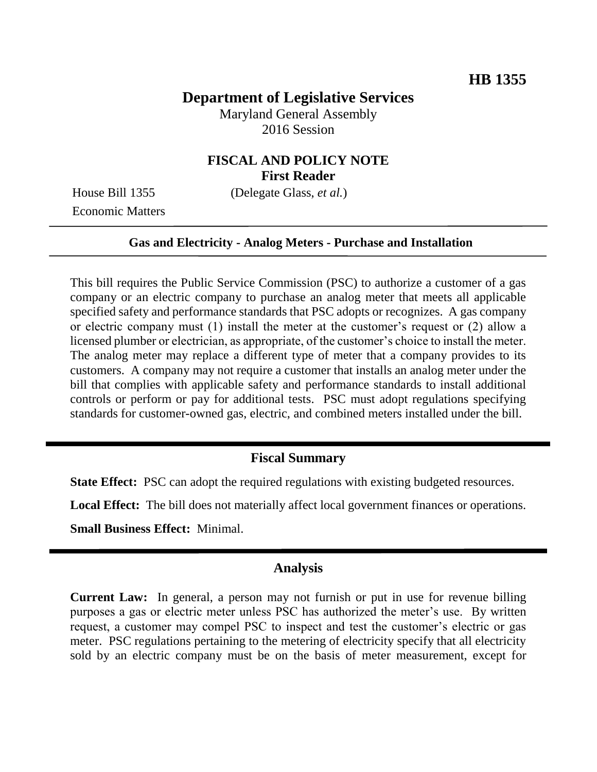# **Department of Legislative Services**

Maryland General Assembly 2016 Session

## **FISCAL AND POLICY NOTE First Reader**

Economic Matters

House Bill 1355 (Delegate Glass, *et al.*)

#### **Gas and Electricity - Analog Meters - Purchase and Installation**

This bill requires the Public Service Commission (PSC) to authorize a customer of a gas company or an electric company to purchase an analog meter that meets all applicable specified safety and performance standards that PSC adopts or recognizes. A gas company or electric company must (1) install the meter at the customer's request or (2) allow a licensed plumber or electrician, as appropriate, of the customer's choice to install the meter. The analog meter may replace a different type of meter that a company provides to its customers. A company may not require a customer that installs an analog meter under the bill that complies with applicable safety and performance standards to install additional controls or perform or pay for additional tests. PSC must adopt regulations specifying standards for customer-owned gas, electric, and combined meters installed under the bill.

## **Fiscal Summary**

**State Effect:** PSC can adopt the required regulations with existing budgeted resources.

**Local Effect:** The bill does not materially affect local government finances or operations.

**Small Business Effect:** Minimal.

#### **Analysis**

**Current Law:** In general, a person may not furnish or put in use for revenue billing purposes a gas or electric meter unless PSC has authorized the meter's use. By written request, a customer may compel PSC to inspect and test the customer's electric or gas meter. PSC regulations pertaining to the metering of electricity specify that all electricity sold by an electric company must be on the basis of meter measurement, except for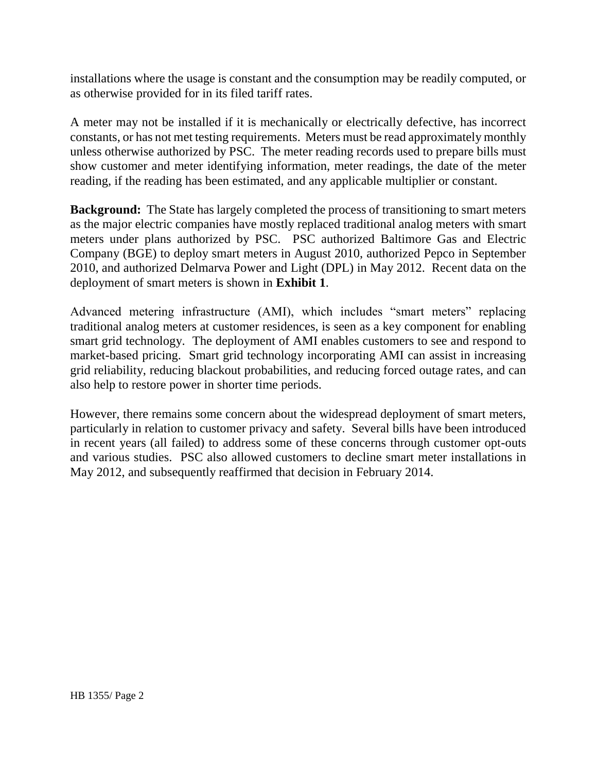installations where the usage is constant and the consumption may be readily computed, or as otherwise provided for in its filed tariff rates.

A meter may not be installed if it is mechanically or electrically defective, has incorrect constants, or has not met testing requirements. Meters must be read approximately monthly unless otherwise authorized by PSC. The meter reading records used to prepare bills must show customer and meter identifying information, meter readings, the date of the meter reading, if the reading has been estimated, and any applicable multiplier or constant.

**Background:** The State has largely completed the process of transitioning to smart meters as the major electric companies have mostly replaced traditional analog meters with smart meters under plans authorized by PSC. PSC authorized Baltimore Gas and Electric Company (BGE) to deploy smart meters in August 2010, authorized Pepco in September 2010, and authorized Delmarva Power and Light (DPL) in May 2012. Recent data on the deployment of smart meters is shown in **Exhibit 1**.

Advanced metering infrastructure (AMI), which includes "smart meters" replacing traditional analog meters at customer residences, is seen as a key component for enabling smart grid technology. The deployment of AMI enables customers to see and respond to market-based pricing. Smart grid technology incorporating AMI can assist in increasing grid reliability, reducing blackout probabilities, and reducing forced outage rates, and can also help to restore power in shorter time periods.

However, there remains some concern about the widespread deployment of smart meters, particularly in relation to customer privacy and safety. Several bills have been introduced in recent years (all failed) to address some of these concerns through customer opt-outs and various studies. PSC also allowed customers to decline smart meter installations in May 2012, and subsequently reaffirmed that decision in February 2014.